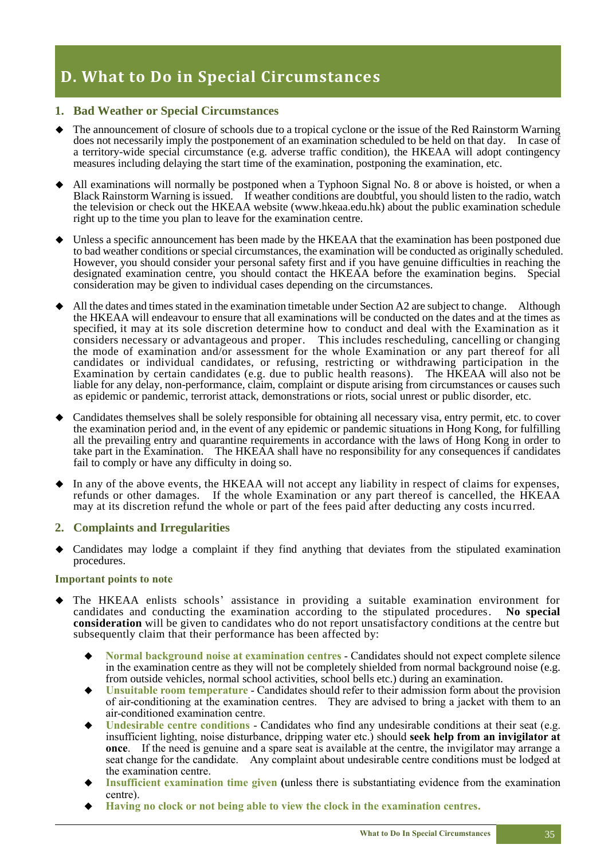# **D. What to Do in Special Circumstances**

# **1. Bad Weather or Special Circumstances**

- The announcement of closure of schools due to a tropical cyclone or the issue of the Red Rainstorm Warning does not necessarily imply the postponement of an examination scheduled to be held on that day. In case of a territory-wide special circumstance (e.g. adverse traffic condition), the HKEAA will adopt contingency measures including delaying the start time of the examination, postponing the examination, etc.
- All examinations will normally be postponed when a Typhoon Signal No. 8 or above is hoisted, or when a Black Rainstorm Warning is issued. If weather conditions are doubtful, you should listen to the radio, watch the television or check out the HKEAA website (www.hkeaa.edu.hk) about the public examination schedule right up to the time you plan to leave for the examination centre.
- Unless a specific announcement has been made by the HKEAA that the examination has been postponed due to bad weather conditions or special circumstances, the examination will be conducted as originally scheduled. However, you should consider your personal safety first and if you have genuine difficulties in reaching the designated examination centre, you should contact the HKEAA before the examination begins. Special consideration may be given to individual cases depending on the circumstances.
- All the dates and times stated in the examination timetable under Section A2 are subject to change. Although the HKEAA will endeavour to ensure that all examinations will be conducted on the dates and at the times as specified, it may at its sole discretion determine how to conduct and deal with the Examination as it considers necessary or advantageous and proper. This includes rescheduling, cancelling or changing the mode of examination and/or assessment for the whole Examination or any part thereof for all candidates or individual candidates, or refusing, restricting or withdrawing participation in the Examination by certain candidates (e.g. due to public health reasons). The HKEAA will also not be liable for any delay, non-performance, claim, complaint or dispute arising from circumstances or causes such as epidemic or pandemic, terrorist attack, demonstrations or riots, social unrest or public disorder, etc.
- Candidates themselves shall be solely responsible for obtaining all necessary visa, entry permit, etc. to cover the examination period and, in the event of any epidemic or pandemic situations in Hong Kong, for fulfilling all the prevailing entry and quarantine requirements in accordance with the laws of Hong Kong in order to take part in the Examination. The HKEAA shall have no responsibility for any consequences if candidates fail to comply or have any difficulty in doing so.
- ◆ In any of the above events, the HKEAA will not accept any liability in respect of claims for expenses, refunds or other damages. If the whole Examination or any part thereof is cancelled, the HKEAA may at its discretion refund the whole or part of the fees paid after deducting any costs incurred.

## **2. Complaints and Irregularities**

◆ Candidates may lodge a complaint if they find anything that deviates from the stipulated examination procedures.

#### **Important points to note**

- The HKEAA enlists schools' assistance in providing a suitable examination environment for candidates and conducting the examination according to the stipulated procedures. **No special consideration** will be given to candidates who do not report unsatisfactory conditions at the centre but subsequently claim that their performance has been affected by:
	- **Normal background noise at examination centres Candidates should not expect complete silence** in the examination centre as they will not be completely shielded from normal background noise (e.g. from outside vehicles, normal school activities, school bells etc.) during an examination.
	- **Unsuitable room temperature** Candidates should refer to their admission form about the provision of air-conditioning at the examination centres. They are advised to bring a jacket with them to an air-conditioned examination centre.
	- **Undesirable centre conditions Candidates who find any undesirable conditions at their seat (e.g.**) insufficient lighting, noise disturbance, dripping water etc.) should **seek help from an invigilator at once**. If the need is genuine and a spare seat is available at the centre, the invigilator may arrange a seat change for the candidate. Any complaint about undesirable centre conditions must be lodged at the examination centre.
	- **Insufficient examination time given (unless there is substantiating evidence from the examination** centre).
	- ◆ **Having no clock or not being able to view the clock in the examination centres.**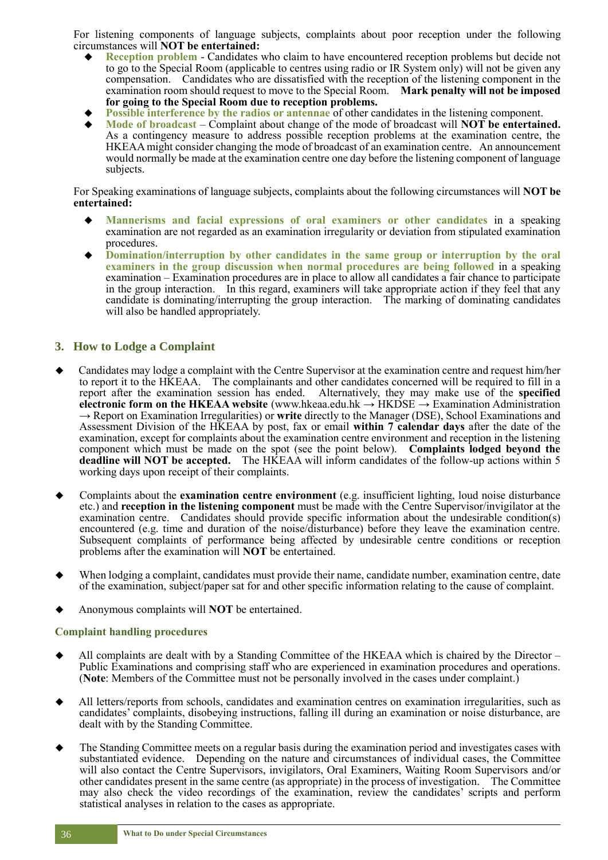For listening components of language subjects, complaints about poor reception under the following circumstances will **NOT be entertained:**

- **Reception problem Candidates who claim to have encountered reception problems but decide not** to go to the Special Room (applicable to centres using radio or IR System only) will not be given any compensation. Candidates who are dissatisfied with the reception of the listening component in the examination room should request to move to the Special Room. **Mark penalty will not be imposed for going to the Special Room due to reception problems.**
- **Possible interference by the radios or antennae** of other candidates in the listening component.
- **Mode of broadcast** Complaint about change of the mode of broadcast will **NOT** be entertained. As a contingency measure to address possible reception problems at the examination centre, the HKEAA might consider changing the mode of broadcast of an examination centre. An announcement would normally be made at the examination centre one day before the listening component of language subjects.

For Speaking examinations of language subjects, complaints about the following circumstances will **NOT be entertained:**

- ◆ **Mannerisms and facial expressions of oral examiners or other candidates** in a speaking examination are not regarded as an examination irregularity or deviation from stipulated examination procedures.
- ◆ **Domination/interruption by other candidates in the same group or interruption by the oral examiners in the group discussion when normal procedures are being followed** in a speaking examination – Examination procedures are in place to allow all candidates a fair chance to participate in the group interaction. In this regard, examiners will take appropriate action if they feel that any candidate is dominating/interrupting the group interaction. The marking of dominating candidates will also be handled appropriately.

#### **3. How to Lodge a Complaint**

- Candidates may lodge a complaint with the Centre Supervisor at the examination centre and request him/her to report it to the HKEAA. The complainants and other candidates concerned will be required to fill in a report after the examination session has ended. Alternatively, they may make use of the **specified electronic form on the HKEAA website** (www.hkeaa.edu.hk → HKDSE → Examination Administration → Report on Examination Irregularities) or **write** directly to the Manager (DSE), School Examinations and Assessment Division of the HKEAA by post, fax or email **within 7 calendar days** after the date of the examination, except for complaints about the examination centre environment and reception in the listening component which must be made on the spot (see the point below). **Complaints lodged beyond the deadline will NOT be accepted.** The HKEAA will inform candidates of the follow-up actions within 5 working days upon receipt of their complaints.
- Complaints about the **examination centre environment** (e.g. insufficient lighting, loud noise disturbance etc.) and **reception in the listening component** must be made with the Centre Supervisor/invigilator at the examination centre. Candidates should provide specific information about the undesirable condition(s) encountered (e.g. time and duration of the noise/disturbance) before they leave the examination centre. Subsequent complaints of performance being affected by undesirable centre conditions or reception problems after the examination will **NOT** be entertained.
- When lodging a complaint, candidates must provide their name, candidate number, examination centre, date of the examination, subject/paper sat for and other specific information relating to the cause of complaint.
- Anonymous complaints will **NOT** be entertained.

#### **Complaint handling procedures**

- All complaints are dealt with by a Standing Committee of the HKEAA which is chaired by the Director Public Examinations and comprising staff who are experienced in examination procedures and operations. (**Note**: Members of the Committee must not be personally involved in the cases under complaint.)
- All letters/reports from schools, candidates and examination centres on examination irregularities, such as candidates' complaints, disobeying instructions, falling ill during an examination or noise disturbance, are dealt with by the Standing Committee.
- The Standing Committee meets on a regular basis during the examination period and investigates cases with substantiated evidence. Depending on the nature and circumstances of individual cases, the Committee will also contact the Centre Supervisors, invigilators, Oral Examiners, Waiting Room Supervisors and/or other candidates present in the same centre (as appropriate) in the process of investigation. The Committee may also check the video recordings of the examination, review the candidates' scripts and perform statistical analyses in relation to the cases as appropriate.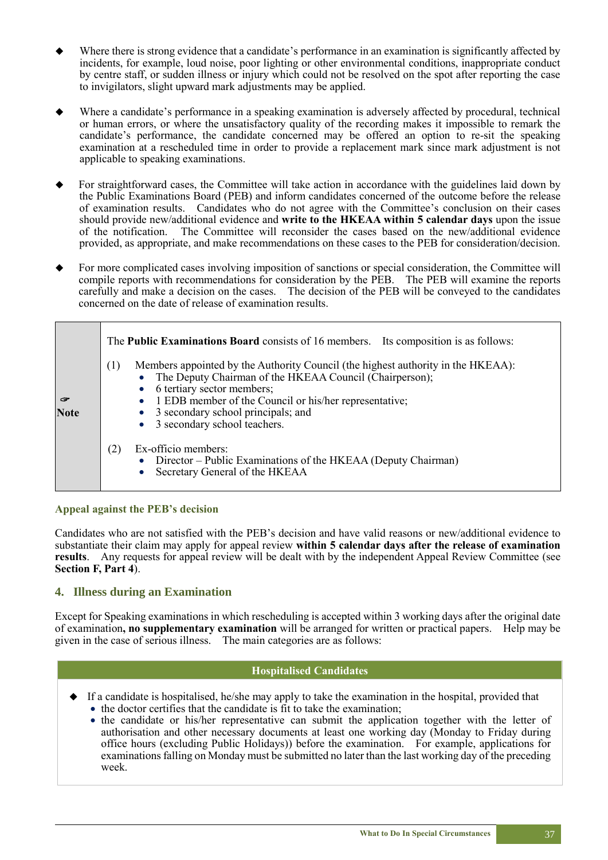- Where there is strong evidence that a candidate's performance in an examination is significantly affected by incidents, for example, loud noise, poor lighting or other environmental conditions, inappropriate conduct by centre staff, or sudden illness or injury which could not be resolved on the spot after reporting the case to invigilators, slight upward mark adjustments may be applied.
- Where a candidate's performance in a speaking examination is adversely affected by procedural, technical or human errors, or where the unsatisfactory quality of the recording makes it impossible to remark the candidate's performance, the candidate concerned may be offered an option to re-sit the speaking examination at a rescheduled time in order to provide a replacement mark since mark adjustment is not applicable to speaking examinations.
- For straightforward cases, the Committee will take action in accordance with the guidelines laid down by the Public Examinations Board (PEB) and inform candidates concerned of the outcome before the release of examination results. Candidates who do not agree with the Committee's conclusion on their cases should provide new/additional evidence and **write to the HKEAA within 5 calendar days** upon the issue of the notification. The Committee will reconsider the cases based on the new/additional evidence provided, as appropriate, and make recommendations on these cases to the PEB for consideration/decision.
- For more complicated cases involving imposition of sanctions or special consideration, the Committee will compile reports with recommendations for consideration by the PEB. The PEB will examine the reports carefully and make a decision on the cases. The decision of the PEB will be conveyed to the candidates concerned on the date of release of examination results.

|                  | The <b>Public Examinations Board</b> consists of 16 members. Its composition is as follows:                                                                                                                                                                                                                              |
|------------------|--------------------------------------------------------------------------------------------------------------------------------------------------------------------------------------------------------------------------------------------------------------------------------------------------------------------------|
| G<br><b>Note</b> | Members appointed by the Authority Council (the highest authority in the HKEAA):<br>(1)<br>The Deputy Chairman of the HKEAA Council (Chairperson);<br>• 6 tertiary sector members;<br>• 1 EDB member of the Council or his/her representative;<br>• 3 secondary school principals; and<br>• 3 secondary school teachers. |
|                  | Ex-officio members:<br>(2)<br>• Director – Public Examinations of the HKEAA (Deputy Chairman)<br>• Secretary General of the HKEAA                                                                                                                                                                                        |

## **Appeal against the PEB's decision**

Candidates who are not satisfied with the PEB's decision and have valid reasons or new/additional evidence to substantiate their claim may apply for appeal review **within 5 calendar days after the release of examination results**. Any requests for appeal review will be dealt with by the independent Appeal Review Committee (see **Section F, Part 4**).

## **4. Illness during an Examination**

Except for Speaking examinations in which rescheduling is accepted within 3 working days after the original date of examination**, no supplementary examination** will be arranged for written or practical papers. Help may be given in the case of serious illness. The main categories are as follows:

#### **Hospitalised Candidates**

- If a candidate is hospitalised, he/she may apply to take the examination in the hospital, provided that • the doctor certifies that the candidate is fit to take the examination;
	- the candidate or his/her representative can submit the application together with the letter of authorisation and other necessary documents at least one working day (Monday to Friday during office hours (excluding Public Holidays)) before the examination. For example, applications for examinations falling on Monday must be submitted no later than the last working day of the preceding week.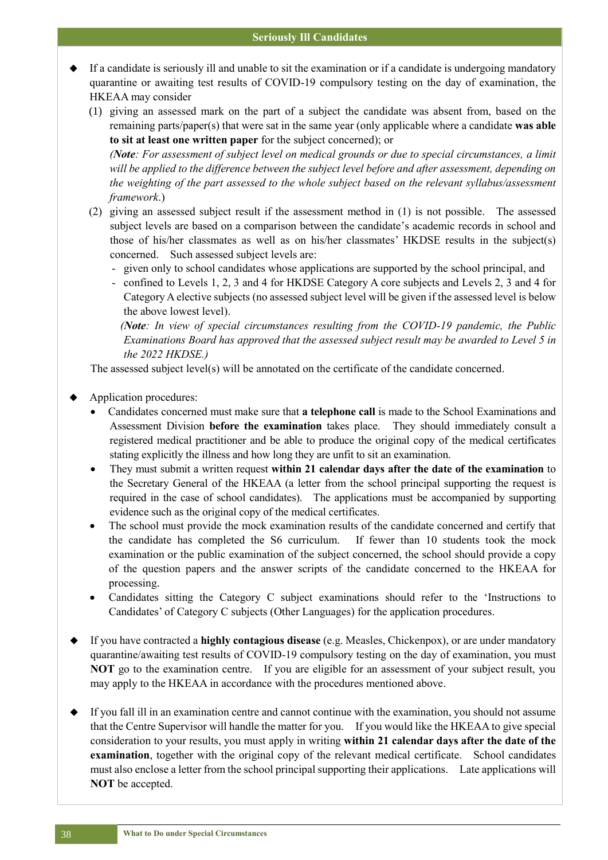- If a candidate is seriously ill and unable to sit the examination or if a candidate is undergoing mandatory quarantine or awaiting test results of COVID-19 compulsory testing on the day of examination, the HKEAA may consider
	- (1) giving an assessed mark on the part of a subject the candidate was absent from, based on the remaining parts/paper(s) that were sat in the same year (only applicable where a candidate **was able to sit at least one written paper** for the subject concerned); or

*(Note: For assessment of subject level on medical grounds or due to special circumstances, a limit will be applied to the difference between the subject level before and after assessment, depending on the weighting of the part assessed to the whole subject based on the relevant syllabus/assessment framework*.)

- (2) giving an assessed subject result if the assessment method in (1) is not possible. The assessed subject levels are based on a comparison between the candidate's academic records in school and those of his/her classmates as well as on his/her classmates' HKDSE results in the subject(s) concerned. Such assessed subject levels are:
	- given only to school candidates whose applications are supported by the school principal, and
	- confined to Levels 1, 2, 3 and 4 for HKDSE Category A core subjects and Levels 2, 3 and 4 for Category A elective subjects (no assessed subject level will be given if the assessed level is below the above lowest level).

*(Note: In view of special circumstances resulting from the COVID-19 pandemic, the Public Examinations Board has approved that the assessed subject result may be awarded to Level 5 in the 2022 HKDSE.)*

The assessed subject level(s) will be annotated on the certificate of the candidate concerned.

Application procedures:

- Candidates concerned must make sure that **a telephone call** is made to the School Examinations and Assessment Division **before the examination** takes place. They should immediately consult a registered medical practitioner and be able to produce the original copy of the medical certificates stating explicitly the illness and how long they are unfit to sit an examination.
- They must submit a written request **within 21 calendar days after the date of the examination** to the Secretary General of the HKEAA (a letter from the school principal supporting the request is required in the case of school candidates). The applications must be accompanied by supporting evidence such as the original copy of the medical certificates.
- The school must provide the mock examination results of the candidate concerned and certify that the candidate has completed the S6 curriculum. If fewer than 10 students took the mock examination or the public examination of the subject concerned, the school should provide a copy of the question papers and the answer scripts of the candidate concerned to the HKEAA for processing.
- Candidates sitting the Category C subject examinations should refer to the 'Instructions to Candidates' of Category C subjects (Other Languages) for the application procedures.
- If you have contracted a **highly contagious disease** (e.g. Measles, Chickenpox), or are under mandatory quarantine/awaiting test results of COVID-19 compulsory testing on the day of examination, you must **NOT** go to the examination centre. If you are eligible for an assessment of your subject result, you may apply to the HKEAA in accordance with the procedures mentioned above.
- If you fall ill in an examination centre and cannot continue with the examination, you should not assume that the Centre Supervisor will handle the matter for you. If you would like the HKEAA to give special consideration to your results, you must apply in writing **within 21 calendar days after the date of the examination**, together with the original copy of the relevant medical certificate. School candidates must also enclose a letter from the school principal supporting their applications. Late applications will **NOT** be accepted.